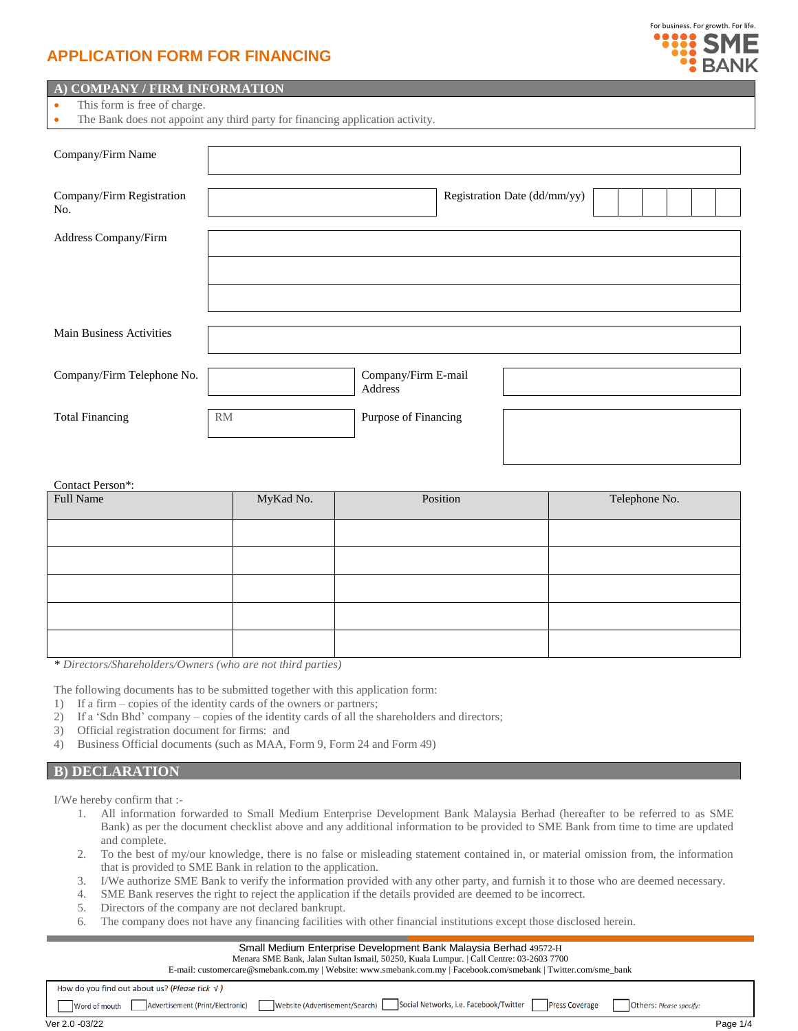# **APPLICATION FORM FOR FINANCING**



## **A) COMPANY / FIRM INFORMATION**

- This form is free of charge.
- The Bank does not appoint any third party for financing application activity.

| Company/Firm Name                |           |                                |                              |  |  |  |  |
|----------------------------------|-----------|--------------------------------|------------------------------|--|--|--|--|
| Company/Firm Registration<br>No. |           |                                | Registration Date (dd/mm/yy) |  |  |  |  |
| Address Company/Firm             |           |                                |                              |  |  |  |  |
|                                  |           |                                |                              |  |  |  |  |
| <b>Main Business Activities</b>  |           |                                |                              |  |  |  |  |
| Company/Firm Telephone No.       |           | Company/Firm E-mail<br>Address |                              |  |  |  |  |
| <b>Total Financing</b>           | <b>RM</b> | Purpose of Financing           |                              |  |  |  |  |

Contact Person\*: Full Name **MyKad No.** Position Position Position Position Position Position Position Position Position Position Position Position Position Position Position Position Position Position Position Position Position Position Po

*\* Directors/Shareholders/Owners (who are not third parties)*

The following documents has to be submitted together with this application form:

- 1) If a firm copies of the identity cards of the owners or partners;
- 2) If a 'Sdn Bhd' company copies of the identity cards of all the shareholders and directors;
- 3) Official registration document for firms: and
- 4) Business Official documents (such as MAA, Form 9, Form 24 and Form 49)

### **B) DECLARATION**

I/We hereby confirm that :-

- 1. All information forwarded to Small Medium Enterprise Development Bank Malaysia Berhad (hereafter to be referred to as SME Bank) as per the document checklist above and any additional information to be provided to SME Bank from time to time are updated and complete.
- 2. To the best of my/our knowledge, there is no false or misleading statement contained in, or material omission from, the information that is provided to SME Bank in relation to the application.
- 3. I/We authorize SME Bank to verify the information provided with any other party, and furnish it to those who are deemed necessary.
- 4. SME Bank reserves the right to reject the application if the details provided are deemed to be incorrect.
- 5. Directors of the company are not declared bankrupt.
- 6. The company does not have any financing facilities with other financial institutions except those disclosed herein.

#### Small Medium Enterprise Development Bank Malaysia Berhad 49572-H

Menara SME Bank, Jalan Sultan Ismail, 50250, Kuala Lumpur. | Call Centre: 03-2603 7700 E-mail: customercare@smebank.com.my | Website: www.smebank.com.my | Facebook.com/smebank | Twitter.com/sme\_bank How do you find out about us? (Please tick  $V$ ) Word of mouth Advertisement (Print/Electronic) Website (Advertisement/Search) Social Networks, i.e. Facebook/Twitter Press Coverage Others: Please specify. Ver 2.0 -03/22 Ver 2.0 -03/22 Page 1/4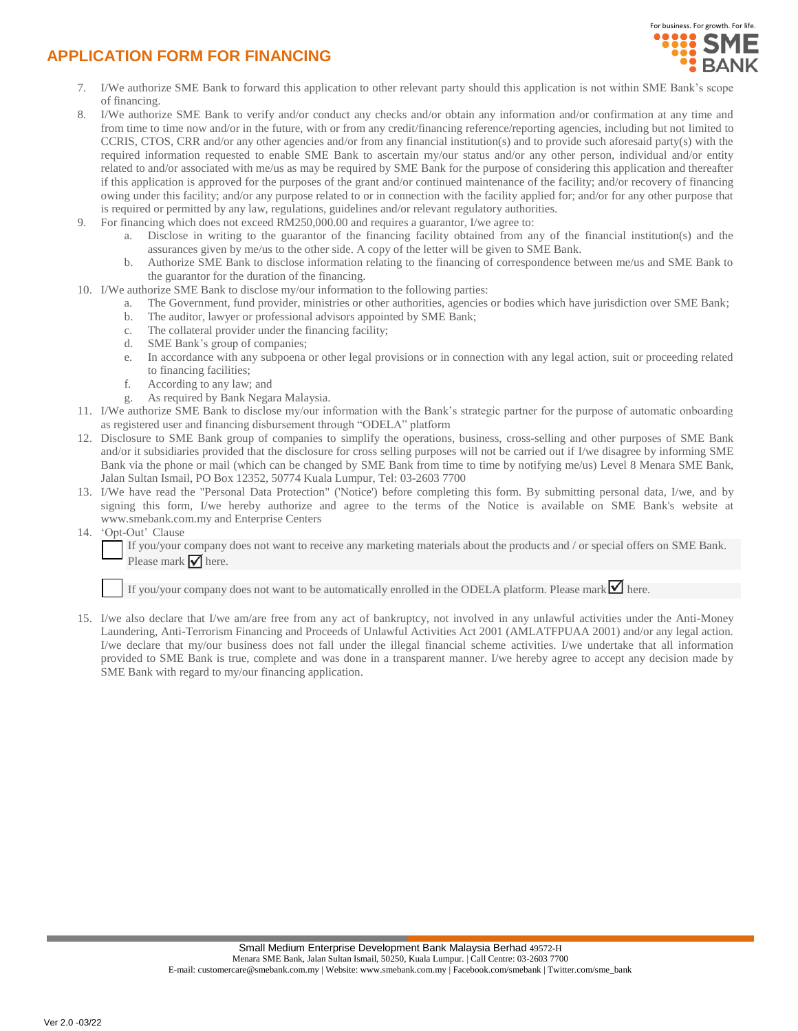# **APPLICATION FORM FOR FINANCING**



- 7. I/We authorize SME Bank to forward this application to other relevant party should this application is not within SME Bank's scope of financing.
- 8. I/We authorize SME Bank to verify and/or conduct any checks and/or obtain any information and/or confirmation at any time and from time to time now and/or in the future, with or from any credit/financing reference/reporting agencies, including but not limited to CCRIS, CTOS, CRR and/or any other agencies and/or from any financial institution(s) and to provide such aforesaid party(s) with the required information requested to enable SME Bank to ascertain my/our status and/or any other person, individual and/or entity related to and/or associated with me/us as may be required by SME Bank for the purpose of considering this application and thereafter if this application is approved for the purposes of the grant and/or continued maintenance of the facility; and/or recovery of financing owing under this facility; and/or any purpose related to or in connection with the facility applied for; and/or for any other purpose that is required or permitted by any law, regulations, guidelines and/or relevant regulatory authorities.
- 9. For financing which does not exceed RM250,000.00 and requires a guarantor, I/we agree to:
	- a. Disclose in writing to the guarantor of the financing facility obtained from any of the financial institution(s) and the assurances given by me/us to the other side. A copy of the letter will be given to SME Bank.
	- b. Authorize SME Bank to disclose information relating to the financing of correspondence between me/us and SME Bank to the guarantor for the duration of the financing.
- 10. I/We authorize SME Bank to disclose my/our information to the following parties:
	- a. The Government, fund provider, ministries or other authorities, agencies or bodies which have jurisdiction over SME Bank;
	- b. The auditor, lawyer or professional advisors appointed by SME Bank;
	- c. The collateral provider under the financing facility;
	- d. SME Bank's group of companies;
	- e. In accordance with any subpoena or other legal provisions or in connection with any legal action, suit or proceeding related to financing facilities;
	- f. According to any law; and
	- g. As required by Bank Negara Malaysia.
- 11. I/We authorize SME Bank to disclose my/our information with the Bank's strategic partner for the purpose of automatic onboarding as registered user and financing disbursement through "ODELA" platform
- 12. Disclosure to SME Bank group of companies to simplify the operations, business, cross-selling and other purposes of SME Bank and/or it subsidiaries provided that the disclosure for cross selling purposes will not be carried out if I/we disagree by informing SME Bank via the phone or mail (which can be changed by SME Bank from time to time by notifying me/us) Level 8 Menara SME Bank, Jalan Sultan Ismail, PO Box 12352, 50774 Kuala Lumpur, Tel: 03-2603 7700
- 13. I/We have read the "Personal Data Protection" ('Notice') before completing this form. By submitting personal data, I/we, and by signing this form, I/we hereby authorize and agree to the terms of the Notice is available on SME Bank's website at www.smebank.com.my and Enterprise Centers
- 14. 'Opt-Out' Clause

If you/your company does not want to receive any marketing materials about the products and / or special offers on SME Bank. Please mark  $\triangledown$  here.

If you/your company does not want to be automatically enrolled in the ODELA platform. Please mark  $\blacksquare$  here.

15. I/we also declare that I/we am/are free from any act of bankruptcy, not involved in any unlawful activities under the Anti-Money Laundering, Anti-Terrorism Financing and Proceeds of Unlawful Activities Act 2001 (AMLATFPUAA 2001) and/or any legal action. I/we declare that my/our business does not fall under the illegal financial scheme activities. I/we undertake that all information provided to SME Bank is true, complete and was done in a transparent manner. I/we hereby agree to accept any decision made by SME Bank with regard to my/our financing application.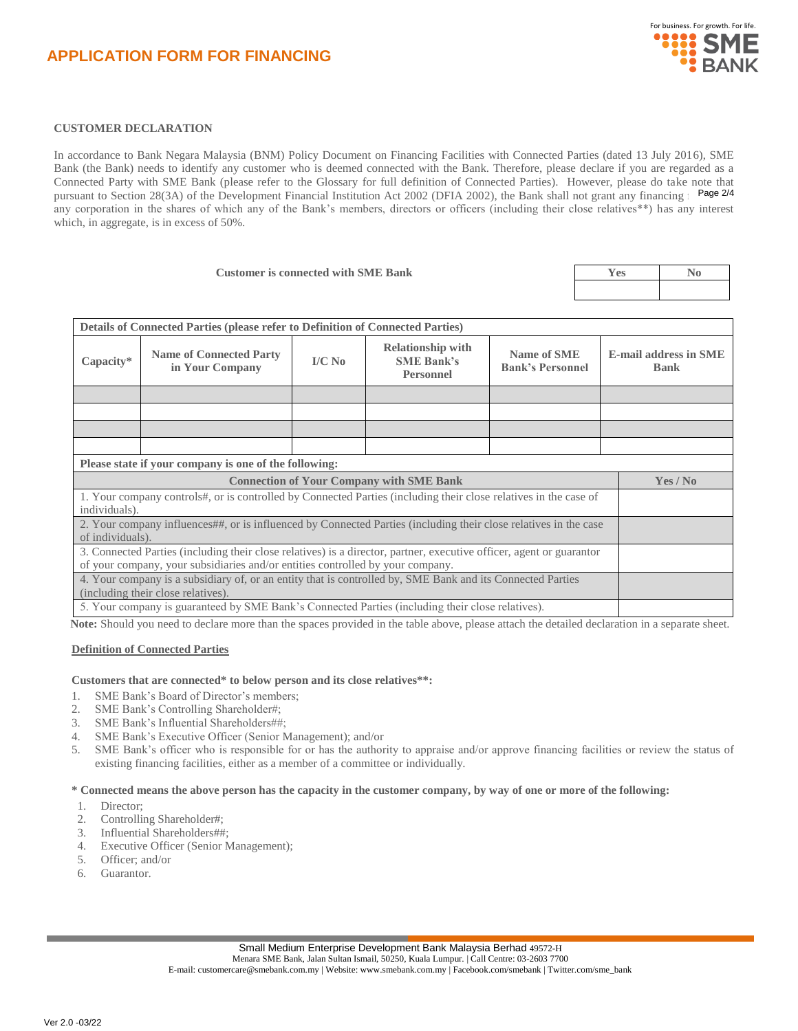# **CUSTOMER DECLARATION**

In accordance to Bank Negara Malaysia (BNM) Policy Document on Financing Facilities with Connected Parties (dated 13 July 2016), SME Bank (the Bank) needs to identify any customer who is deemed connected with the Bank. Therefore, please declare if you are regarded as a Connected Party with SME Bank (please refer to the Glossary for full definition of Connected Parties). However, please do take note that pursuant to Section 28(3A) of the Development Financial Institution Act 2002 (DFIA 2002), the Bank shall not grant any financing Fage 2/4 any corporation in the shares of which any of the Bank's members, directors or officers (including their close relatives\*\*) has any interest which, in aggregate, is in excess of 50%.

| <b>Customer is connected with SME Bank</b> | r es |  |
|--------------------------------------------|------|--|
|                                            |      |  |
|                                            |      |  |

| <b>Relationship with</b><br><b>Name of Connected Party</b><br>Name of SME<br><b>E-mail address in SME</b><br>Capacity*<br>$IVC$ No<br><b>SME Bank's</b><br><b>Bank's Personnel</b><br>in Your Company<br><b>Bank</b><br><b>Personnel</b><br>Please state if your company is one of the following:<br><b>Connection of Your Company with SME Bank</b><br>Yes / No<br>1. Your company controls#, or is controlled by Connected Parties (including their close relatives in the case of<br>individuals).<br>2. Your company influences##, or is influenced by Connected Parties (including their close relatives in the case<br>of individuals).<br>3. Connected Parties (including their close relatives) is a director, partner, executive officer, agent or guarantor<br>of your company, your subsidiaries and/or entities controlled by your company.<br>4. Your company is a subsidiary of, or an entity that is controlled by, SME Bank and its Connected Parties<br>(including their close relatives).<br>5. Your company is guaranteed by SME Bank's Connected Parties (including their close relatives). |  | <b>Details of Connected Parties (please refer to Definition of Connected Parties)</b> |  |  |  |  |  |  |
|-----------------------------------------------------------------------------------------------------------------------------------------------------------------------------------------------------------------------------------------------------------------------------------------------------------------------------------------------------------------------------------------------------------------------------------------------------------------------------------------------------------------------------------------------------------------------------------------------------------------------------------------------------------------------------------------------------------------------------------------------------------------------------------------------------------------------------------------------------------------------------------------------------------------------------------------------------------------------------------------------------------------------------------------------------------------------------------------------------------------|--|---------------------------------------------------------------------------------------|--|--|--|--|--|--|
|                                                                                                                                                                                                                                                                                                                                                                                                                                                                                                                                                                                                                                                                                                                                                                                                                                                                                                                                                                                                                                                                                                                 |  |                                                                                       |  |  |  |  |  |  |
|                                                                                                                                                                                                                                                                                                                                                                                                                                                                                                                                                                                                                                                                                                                                                                                                                                                                                                                                                                                                                                                                                                                 |  |                                                                                       |  |  |  |  |  |  |
|                                                                                                                                                                                                                                                                                                                                                                                                                                                                                                                                                                                                                                                                                                                                                                                                                                                                                                                                                                                                                                                                                                                 |  |                                                                                       |  |  |  |  |  |  |
|                                                                                                                                                                                                                                                                                                                                                                                                                                                                                                                                                                                                                                                                                                                                                                                                                                                                                                                                                                                                                                                                                                                 |  |                                                                                       |  |  |  |  |  |  |
|                                                                                                                                                                                                                                                                                                                                                                                                                                                                                                                                                                                                                                                                                                                                                                                                                                                                                                                                                                                                                                                                                                                 |  |                                                                                       |  |  |  |  |  |  |
|                                                                                                                                                                                                                                                                                                                                                                                                                                                                                                                                                                                                                                                                                                                                                                                                                                                                                                                                                                                                                                                                                                                 |  |                                                                                       |  |  |  |  |  |  |
|                                                                                                                                                                                                                                                                                                                                                                                                                                                                                                                                                                                                                                                                                                                                                                                                                                                                                                                                                                                                                                                                                                                 |  |                                                                                       |  |  |  |  |  |  |
|                                                                                                                                                                                                                                                                                                                                                                                                                                                                                                                                                                                                                                                                                                                                                                                                                                                                                                                                                                                                                                                                                                                 |  |                                                                                       |  |  |  |  |  |  |
|                                                                                                                                                                                                                                                                                                                                                                                                                                                                                                                                                                                                                                                                                                                                                                                                                                                                                                                                                                                                                                                                                                                 |  |                                                                                       |  |  |  |  |  |  |
|                                                                                                                                                                                                                                                                                                                                                                                                                                                                                                                                                                                                                                                                                                                                                                                                                                                                                                                                                                                                                                                                                                                 |  |                                                                                       |  |  |  |  |  |  |
|                                                                                                                                                                                                                                                                                                                                                                                                                                                                                                                                                                                                                                                                                                                                                                                                                                                                                                                                                                                                                                                                                                                 |  |                                                                                       |  |  |  |  |  |  |
|                                                                                                                                                                                                                                                                                                                                                                                                                                                                                                                                                                                                                                                                                                                                                                                                                                                                                                                                                                                                                                                                                                                 |  |                                                                                       |  |  |  |  |  |  |
|                                                                                                                                                                                                                                                                                                                                                                                                                                                                                                                                                                                                                                                                                                                                                                                                                                                                                                                                                                                                                                                                                                                 |  |                                                                                       |  |  |  |  |  |  |
| the property of the contract of the contract of the contract of the contract of the contract of the contract of the contract of the contract of the contract of the contract of the contract of the contract of the contract o<br>$\mathbf{A} = \mathbf{A} + \mathbf{A} + \mathbf{A} + \mathbf{A} + \mathbf{A} + \mathbf{A} + \mathbf{A} + \mathbf{A} + \mathbf{A} + \mathbf{A} + \mathbf{A} + \mathbf{A} + \mathbf{A} + \mathbf{A} + \mathbf{A} + \mathbf{A} + \mathbf{A} + \mathbf{A} + \mathbf{A} + \mathbf{A} + \mathbf{A} + \mathbf{A} + \mathbf{A} + \mathbf{A} + \mathbf{A} + \mathbf{A} + \mathbf{A} + \mathbf{A} + \mathbf{A} + \mathbf{A} + \mathbf$                                                                                                                                                                                                                                                                                                                                                                                                                                                  |  |                                                                                       |  |  |  |  |  |  |

**Note:** Should you need to declare more than the spaces provided in the table above, please attach the detailed declaration in a separate sheet.

### **Definition of Connected Parties**

### **Customers that are connected\* to below person and its close relatives\*\*:**

- 1. SME Bank's Board of Director's members;
- 2. SME Bank's Controlling Shareholder#;
- 3. SME Bank's Influential Shareholders##;
- 4. SME Bank's Executive Officer (Senior Management); and/or
- 5. SME Bank's officer who is responsible for or has the authority to appraise and/or approve financing facilities or review the status of existing financing facilities, either as a member of a committee or individually.

#### **\* Connected means the above person has the capacity in the customer company, by way of one or more of the following:**

- 1. Director;
- 2. Controlling Shareholder#;
- 3. Influential Shareholders##;
- 4. Executive Officer (Senior Management);
- 5. Officer; and/or
- 6. Guarantor.